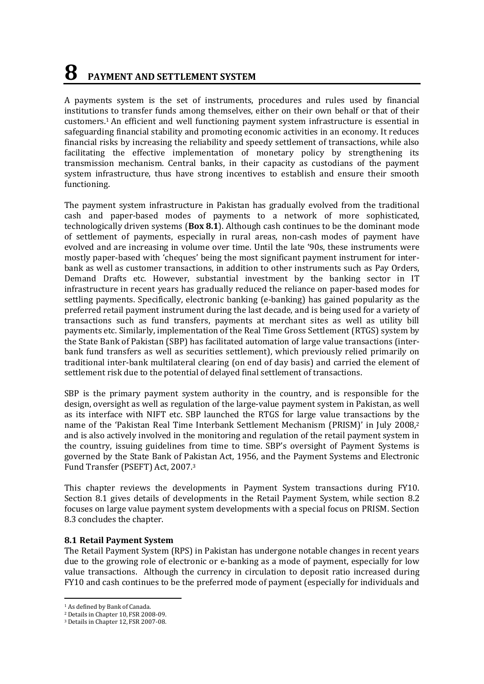# **8 PAYMENT AND SETTLEMENT SYSTEM**

A payments system is the set of instruments, procedures and rules used by financial institutions to transfer funds among themselves, either on their own behalf or that of their customers. <sup>1</sup> An efficient and well functioning payment system infrastructure is essential in safeguarding financial stability and promoting economic activities in an economy. It reduces financial risks by increasing the reliability and speedy settlement of transactions, while also facilitating the effective implementation of monetary policy by strengthening its transmission mechanism. Central banks, in their capacity as custodians of the payment system infrastructure, thus have strong incentives to establish and ensure their smooth functioning.

The payment system infrastructure in Pakistan has gradually evolved from the traditional cash and paper-based modes of payments to a network of more sophisticated, technologically driven systems (**Box 8.1**). Although cash continues to be the dominant mode of settlement of payments, especially in rural areas, non-cash modes of payment have evolved and are increasing in volume over time. Until the late '90s, these instruments were mostly paper-based with 'cheques' being the most significant payment instrument for interbank as well as customer transactions, in addition to other instruments such as Pay Orders, Demand Drafts etc. However, substantial investment by the banking sector in IT infrastructure in recent years has gradually reduced the reliance on paper-based modes for settling payments. Specifically, electronic banking (e-banking) has gained popularity as the preferred retail payment instrument during the last decade, and is being used for a variety of transactions such as fund transfers, payments at merchant sites as well as utility bill payments etc. Similarly, implementation of the Real Time Gross Settlement (RTGS) system by the State Bank of Pakistan (SBP) has facilitated automation of large value transactions (interbank fund transfers as well as securities settlement), which previously relied primarily on traditional inter-bank multilateral clearing (on end of day basis) and carried the element of settlement risk due to the potential of delayed final settlement of transactions.

SBP is the primary payment system authority in the country, and is responsible for the design, oversight as well as regulation of the large-value payment system in Pakistan, as well as its interface with NIFT etc. SBP launched the RTGS for large value transactions by the name of the 'Pakistan Real Time Interbank Settlement Mechanism (PRISM)' in July 2008, 2 and is also actively involved in the monitoring and regulation of the retail payment system in the country, issuing guidelines from time to time. SBP's oversight of Payment Systems is governed by the State Bank of Pakistan Act, 1956, and the Payment Systems and Electronic Fund Transfer (PSEFT) Act, 2007. 3

This chapter reviews the developments in Payment System transactions during FY10. Section 8.1 gives details of developments in the Retail Payment System, while section 8.2 focuses on large value payment system developments with a special focus on PRISM. Section 8.3 concludes the chapter.

# **8.1 Retail Payment System**

The Retail Payment System (RPS) in Pakistan has undergone notable changes in recent years due to the growing role of electronic or e-banking as a mode of payment, especially for low value transactions. Although the currency in circulation to deposit ratio increased during FY10 and cash continues to be the preferred mode of payment (especially for individuals and

 $\overline{a}$ 

<sup>&</sup>lt;sup>1</sup> As defined by Bank of Canada.

<sup>2</sup> Details in Chapter 10, FSR 2008-09.

<sup>3</sup> Details in Chapter 12, FSR 2007-08.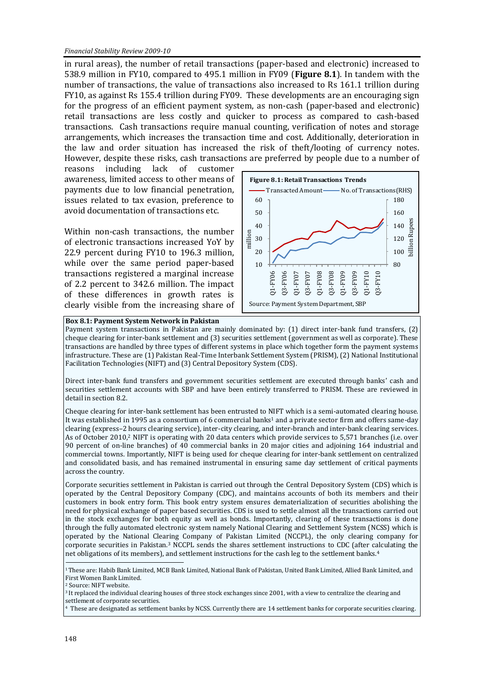in rural areas), the number of retail transactions (paper-based and electronic) increased to 538.9 million in FY10, compared to 495.1 million in FY09 (**Figure 8.1**). In tandem with the number of transactions, the value of transactions also increased to Rs 161.1 trillion during FY10, as against Rs 155.4 trillion during FY09. These developments are an encouraging sign for the progress of an efficient payment system, as non-cash (paper-based and electronic) retail transactions are less costly and quicker to process as compared to cash-based transactions. Cash transactions require manual counting, verification of notes and storage arrangements, which increases the transaction time and cost. Additionally, deterioration in the law and order situation has increased the risk of theft/looting of currency notes. However, despite these risks, cash transactions are preferred by people due to a number of

reasons including lack of customer awareness, limited access to other means of payments due to low financial penetration, issues related to tax evasion, preference to avoid documentation of transactions etc.

Within non-cash transactions, the number of electronic transactions increased YoY by 22.9 percent during FY10 to 196.3 million, while over the same period paper-based transactions registered a marginal increase of 2.2 percent to 342.6 million. The impact of these differences in growth rates is clearly visible from the increasing share of



#### **Box 8.1: Payment System Network in Pakistan**

Payment system transactions in Pakistan are mainly dominated by: (1) direct inter-bank fund transfers, (2) cheque clearing for inter-bank settlement and (3) securities settlement (government as well as corporate). These transactions are handled by three types of different systems in place which together form the payment systems infrastructure. These are (1) Pakistan Real-Time Interbank Settlement System (PRISM), (2) National Institutional Facilitation Technologies (NIFT) and (3) Central Depository System (CDS).

Direct inter-bank fund transfers and government securities settlement are executed through banks' cash and securities settlement accounts with SBP and have been entirely transferred to PRISM. These are reviewed in detail in section 8.2.

Cheque clearing for inter-bank settlement has been entrusted to NIFT which is a semi-automated clearing house. It was established in 1995 as a consortium of 6 commercial banks<sup>1</sup> and a private sector firm and offers same-day clearing (express–2 hours clearing service), inter-city clearing, and inter-branch and inter-bank clearing services. As of October 2010,<sup>2</sup> NIFT is operating with 20 data centers which provide services to 5,571 branches (i.e. over 90 percent of on-line branches) of 40 commercial banks in 20 major cities and adjoining 164 industrial and commercial towns. Importantly, NIFT is being used for cheque clearing for inter-bank settlement on centralized and consolidated basis, and has remained instrumental in ensuring same day settlement of critical payments across the country.

Corporate securities settlement in Pakistan is carried out through the Central Depository System (CDS) which is operated by the Central Depository Company (CDC), and maintains accounts of both its members and their customers in book entry form. This book entry system ensures dematerialization of securities abolishing the need for physical exchange of paper based securities. CDS is used to settle almost all the transactions carried out in the stock exchanges for both equity as well as bonds. Importantly, clearing of these transactions is done through the fully automated electronic system namely National Clearing and Settlement System (NCSS) which is operated by the National Clearing Company of Pakistan Limited (NCCPL), the only clearing company for corporate securities in Pakistan.<sup>3</sup> NCCPL sends the shares settlement instructions to CDC (after calculating the net obligations of its members), and settlement instructions for the cash leg to the settlement banks.<sup>4</sup>

<sup>2</sup> Source: NIFT website.

<sup>1</sup>These are: Habib Bank Limited, MCB Bank Limited, National Bank of Pakistan, United Bank Limited, Allied Bank Limited, and First Women Bank Limited.

 $3$  It replaced the individual clearing houses of three stock exchanges since 2001, with a view to centralize the clearing and settlement of corporate securities.

<sup>&</sup>lt;sup>4</sup> These are designated as settlement banks by NCSS. Currently there are 14 settlement banks for corporate securities clearing.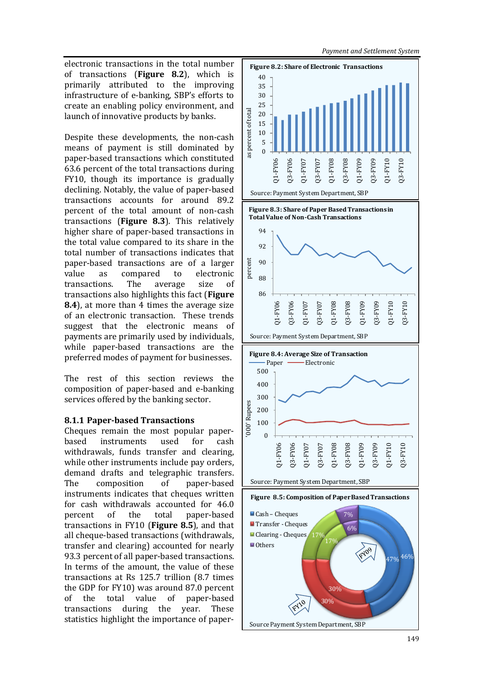electronic transactions in the total number **Figure 8.2: Share of Electronic Transactions** of transactions (**Figure 8.2**), which is primarily attributed to the improving infrastructure of e-banking, SBP's efforts to create an enabling policy environment, and launch of innovative products by banks.

Despite these developments, the non-cash means of payment is still dominated by paper-based transactions which constituted 63.6 percent of the total transactions during FY10, though its importance is gradually declining. Notably, the value of paper-based transactions accounts for around 89.2 percent of the total amount of non-cash transactions (**Figure 8.3**). This relatively higher share of paper-based transactions in the total value compared to its share in the total number of transactions indicates that paper-based transactions are of a larger value as compared to electronic transactions. The average size of transactions also highlights this fact (**Figure 8.4**), at more than 4 times the average size of an electronic transaction. These trends suggest that the electronic means of payments are primarily used by individuals, while paper-based transactions are the preferred modes of payment for businesses.

The rest of this section reviews the composition of paper-based and e-banking services offered by the banking sector.

# **8.1.1 Paper-based Transactions**

Cheques remain the most popular paperbased instruments used for cash withdrawals, funds transfer and clearing, while other instruments include pay orders, demand drafts and telegraphic transfers. The composition of paper-based instruments indicates that cheques written for cash withdrawals accounted for 46.0 percent of the total paper-based transactions in FY10 (**Figure 8.5**), and that all cheque-based transactions (withdrawals, transfer and clearing) accounted for nearly 93.3 percent of all paper-based transactions. In terms of the amount, the value of these transactions at Rs 125.7 trillion (8.7 times the GDP for FY10) was around 87.0 percent of the total value of paper-based transactions during the year. These statistics highlight the importance of paper-



*Payment and Settlement System*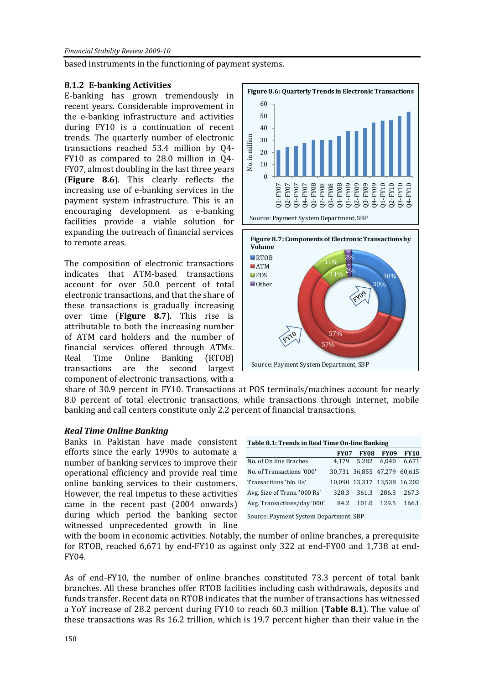based instruments in the functioning of payment systems.

# **8.1.2 E-banking Activities**

E-banking has grown tremendously in recent years. Considerable improvement in the e-banking infrastructure and activities during FY10 is a continuation of recent trends. The quarterly number of electronic transactions reached 53.4 million by Q4- FY10 as compared to 28.0 million in Q4- FY07, almost doubling in the last three years (**Figure 8.6**). This clearly reflects the increasing use of e-banking services in the payment system infrastructure. This is an encouraging development as e-banking facilities provide a viable solution for expanding the outreach of financial services to remote areas.

The composition of electronic transactions indicates that ATM-based transactions account for over 50.0 percent of total electronic transactions, and that the share of these transactions is gradually increasing over time (**Figure 8.7**). This rise is attributable to both the increasing number of ATM card holders and the number of financial services offered through ATMs. Real Time Online Banking (RTOB) transactions are the second largest component of electronic transactions, with a





share of 30.9 percent in FY10. Transactions at POS terminals/machines account for nearly 8.0 percent of total electronic transactions, while transactions through internet, mobile banking and call centers constitute only 2.2 percent of financial transactions.

## *Real Time Online Banking*

Banks in Pakistan have made consistent efforts since the early 1990s to automate a number of banking services to improve their operational efficiency and provide real time online banking services to their customers. However, the real impetus to these activities came in the recent past (2004 onwards) during which period the banking sector witnessed unprecedented growth in line

| Table 8.1: Trends in Real Time On-line Banking |             |                             |             |             |  |
|------------------------------------------------|-------------|-----------------------------|-------------|-------------|--|
|                                                | <b>FY07</b> | <b>FY08</b>                 | <b>FY09</b> | <b>FY10</b> |  |
| No. of On line Braches                         | 4.179       | 5.282                       | 6,040       | 6.671       |  |
| No. of Transactions '000'                      |             | 30,731 36,855 47,279 60,615 |             |             |  |
| Transactions 'bln. Rs'                         |             | 10,090 13,317 13,538 16,202 |             |             |  |
| Avg. Size of Trans. '000 Rs'                   | 328.3       | 361.3                       | 286.3       | 267.3       |  |
| Avg. Transactions/day '000'                    | 84.2        | 101.0                       | - 129.5     | 166.1       |  |

Source: Payment System Department, SBP

with the boom in economic activities. Notably, the number of online branches, a prerequisite for RTOB, reached 6,671 by end-FY10 as against only 322 at end-FY00 and 1,738 at end-FY04.

As of end-FY10, the number of online branches constituted 73.3 percent of total bank branches. All these branches offer RTOB facilities including cash withdrawals, deposits and funds transfer. Recent data on RTOB indicates that the number of transactions has witnessed a YoY increase of 28.2 percent during FY10 to reach 60.3 million (**Table 8.1**). The value of these transactions was Rs 16.2 trillion, which is 19.7 percent higher than their value in the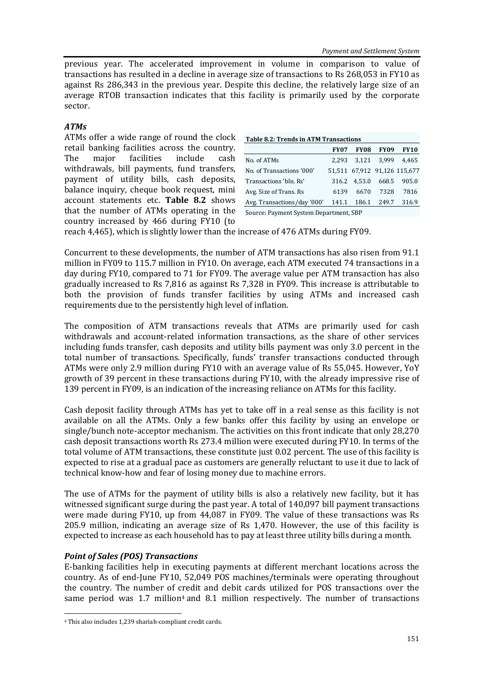previous year. The accelerated improvement in volume in comparison to value of transactions has resulted in a decline in average size of transactions to Rs 268,053 in FY10 as against Rs 286,343 in the previous year. Despite this decline, the relatively large size of an average RTOB transaction indicates that this facility is primarily used by the corporate sector.

# *ATMs*

ATMs offer a wide range of round the clock retail banking facilities across the country. The major facilities include cash withdrawals, bill payments, fund transfers, payment of utility bills, cash deposits, balance inquiry, cheque book request, mini account statements etc. **Table 8.2** shows that the number of ATMs operating in the country increased by 466 during FY10 (to

| <b>Table 8.2: Trends in ATM Transactions</b> |             |  |                  |                              |  |
|----------------------------------------------|-------------|--|------------------|------------------------------|--|
|                                              | <b>FY07</b> |  | <b>FY08 FY09</b> | <b>FY10</b>                  |  |
| No. of ATMs                                  |             |  |                  | 2,293 3,121 3,999 4,465      |  |
| No. of Transactions '000'                    |             |  |                  | 51.511 67.912 91.126 115.677 |  |
| Transactions 'bln. Rs'                       |             |  |                  | 316.2 4,53.0 668.5 905.0     |  |
| Avg. Size of Trans. Rs                       | 6139        |  | 6670 7328        | 7816                         |  |

Avg. Transactions/day '000' 141.1 186.1 249.7 316.9

Source: Payment System Department, SBP

reach 4,465), which is slightly lower than the increase of 476 ATMs during FY09.

Concurrent to these developments, the number of ATM transactions has also risen from 91.1 million in FY09 to 115.7 million in FY10. On average, each ATM executed 74 transactions in a day during FY10, compared to 71 for FY09. The average value per ATM transaction has also gradually increased to Rs 7,816 as against Rs 7,328 in FY09. This increase is attributable to both the provision of funds transfer facilities by using ATMs and increased cash requirements due to the persistently high level of inflation.

The composition of ATM transactions reveals that ATMs are primarily used for cash withdrawals and account-related information transactions, as the share of other services including funds transfer, cash deposits and utility bills payment was only 3.0 percent in the total number of transactions. Specifically, funds' transfer transactions conducted through ATMs were only 2.9 million during FY10 with an average value of Rs 55,045. However, YoY growth of 39 percent in these transactions during FY10, with the already impressive rise of 139 percent in FY09, is an indication of the increasing reliance on ATMs for this facility.

Cash deposit facility through ATMs has yet to take off in a real sense as this facility is not available on all the ATMs. Only a few banks offer this facility by using an envelope or single/bunch note-acceptor mechanism. The activities on this front indicate that only 28,270 cash deposit transactions worth Rs 273.4 million were executed during FY10. In terms of the total volume of ATM transactions, these constitute just 0.02 percent. The use of this facility is expected to rise at a gradual pace as customers are generally reluctant to use it due to lack of technical know-how and fear of losing money due to machine errors.

The use of ATMs for the payment of utility bills is also a relatively new facility, but it has witnessed significant surge during the past year. A total of 140,097 bill payment transactions were made during FY10, up from 44,087 in FY09. The value of these transactions was Rs 205.9 million, indicating an average size of Rs 1,470. However, the use of this facility is expected to increase as each household has to pay at least three utility bills during a month.

## *Point of Sales (POS) Transactions*

l

E-banking facilities help in executing payments at different merchant locations across the country. As of end-June FY10, 52,049 POS machines/terminals were operating throughout the country. The number of credit and debit cards utilized for POS transactions over the same period was  $1.7$  million<sup>4</sup> and  $8.1$  million respectively. The number of transactions

<sup>4</sup> This also includes 1,239 shariah-compliant credit cards.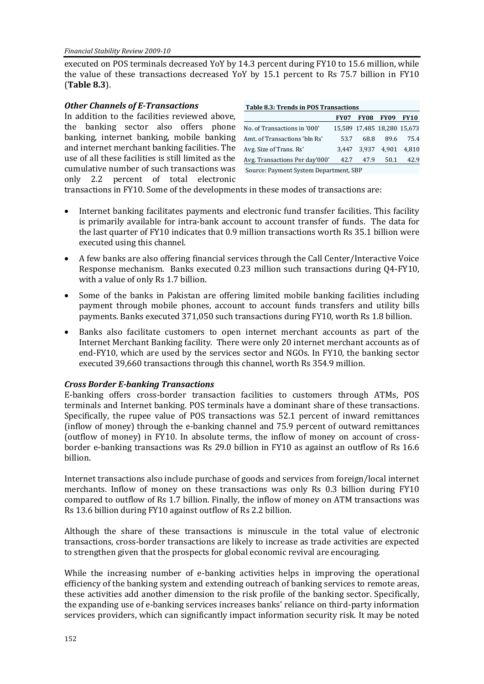executed on POS terminals decreased YoY by 14.3 percent during FY10 to 15.6 million, while the value of these transactions decreased YoY by 15.1 percent to Rs 75.7 billion in FY10 (**Table 8.3**).

| <b>Other Channels of E-Transactions</b>             | Table 8.3: Trends in POS Transactions  |             |                             |             |             |
|-----------------------------------------------------|----------------------------------------|-------------|-----------------------------|-------------|-------------|
| In addition to the facilities reviewed above,       |                                        | <b>FY07</b> | <b>FY08</b>                 | <b>FY09</b> | <b>FY10</b> |
| the banking sector also offers phone                | No. of Transactions in '000'           |             | 15,589 17,485 18,280 15,673 |             |             |
| banking, internet banking, mobile banking           | Amt. of Transactions 'bln Rs'          | 53.7        | 68.8                        | 89.6        | 75.4        |
| and internet merchant banking facilities. The       | Avg. Size of Trans. Rs'                | 3.447       | 3.937                       | 4.901       | 4,810       |
| use of all these facilities is still limited as the | Avg. Transactions Per day'000'         | 42.7        | 47.9                        | 50.1        | 42.9        |
| cumulative number of such transactions was          | Source: Payment System Department, SBP |             |                             |             |             |
| only 2.2 percent of total electronic                |                                        |             |                             |             |             |

transactions in FY10. Some of the developments in these modes of transactions are:

- Internet banking facilitates payments and electronic fund transfer facilities. This facility is primarily available for intra-bank account to account transfer of funds. The data for the last quarter of FY10 indicates that 0.9 million transactions worth Rs 35.1 billion were executed using this channel.
- A few banks are also offering financial services through the Call Center/Interactive Voice Response mechanism. Banks executed 0.23 million such transactions during Q4-FY10, with a value of only Rs 1.7 billion.
- Some of the banks in Pakistan are offering limited mobile banking facilities including payment through mobile phones, account to account funds transfers and utility bills payments. Banks executed 371,050 such transactions during FY10, worth Rs 1.8 billion.
- Banks also facilitate customers to open internet merchant accounts as part of the Internet Merchant Banking facility. There were only 20 internet merchant accounts as of end-FY10, which are used by the services sector and NGOs. In FY10, the banking sector executed 39,660 transactions through this channel, worth Rs 354.9 million.

## *Cross Border E-banking Transactions*

E-banking offers cross-border transaction facilities to customers through ATMs, POS terminals and Internet banking. POS terminals have a dominant share of these transactions. Specifically, the rupee value of POS transactions was 52.1 percent of inward remittances (inflow of money) through the e-banking channel and 75.9 percent of outward remittances (outflow of money) in FY10. In absolute terms, the inflow of money on account of crossborder e-banking transactions was Rs 29.0 billion in FY10 as against an outflow of Rs 16.6 billion.

Internet transactions also include purchase of goods and services from foreign/local internet merchants. Inflow of money on these transactions was only Rs 0.3 billion during FY10 compared to outflow of Rs 1.7 billion. Finally, the inflow of money on ATM transactions was Rs 13.6 billion during FY10 against outflow of Rs 2.2 billion.

Although the share of these transactions is minuscule in the total value of electronic transactions, cross-border transactions are likely to increase as trade activities are expected to strengthen given that the prospects for global economic revival are encouraging.

While the increasing number of e-banking activities helps in improving the operational efficiency of the banking system and extending outreach of banking services to remote areas, these activities add another dimension to the risk profile of the banking sector. Specifically, the expanding use of e-banking services increases banks' reliance on third-party information services providers, which can significantly impact information security risk. It may be noted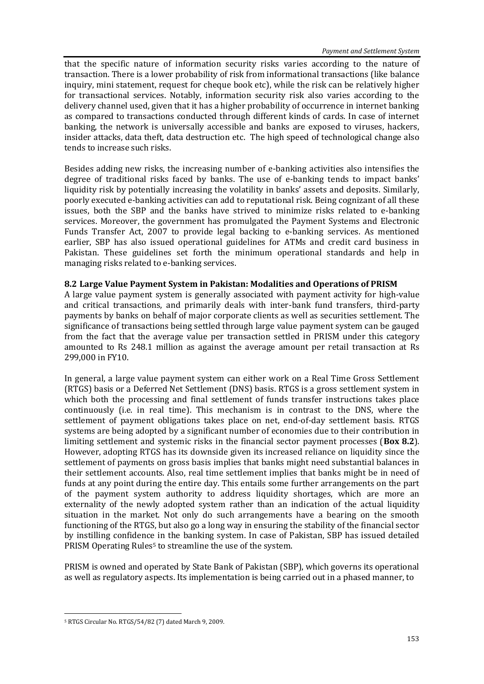that the specific nature of information security risks varies according to the nature of transaction. There is a lower probability of risk from informational transactions (like balance inquiry, mini statement, request for cheque book etc), while the risk can be relatively higher for transactional services. Notably, information security risk also varies according to the delivery channel used, given that it has a higher probability of occurrence in internet banking as compared to transactions conducted through different kinds of cards. In case of internet banking, the network is universally accessible and banks are exposed to viruses, hackers, insider attacks, data theft, data destruction etc. The high speed of technological change also tends to increase such risks.

Besides adding new risks, the increasing number of e-banking activities also intensifies the degree of traditional risks faced by banks. The use of e-banking tends to impact banks' liquidity risk by potentially increasing the volatility in banks' assets and deposits. Similarly, poorly executed e-banking activities can add to reputational risk. Being cognizant of all these issues, both the SBP and the banks have strived to minimize risks related to e-banking services. Moreover, the government has promulgated the Payment Systems and Electronic Funds Transfer Act, 2007 to provide legal backing to e-banking services. As mentioned earlier, SBP has also issued operational guidelines for ATMs and credit card business in Pakistan. These guidelines set forth the minimum operational standards and help in managing risks related to e-banking services.

## **8.2 Large Value Payment System in Pakistan: Modalities and Operations of PRISM**

A large value payment system is generally associated with payment activity for high-value and critical transactions, and primarily deals with inter-bank fund transfers, third-party payments by banks on behalf of major corporate clients as well as securities settlement. The significance of transactions being settled through large value payment system can be gauged from the fact that the average value per transaction settled in PRISM under this category amounted to Rs 248.1 million as against the average amount per retail transaction at Rs 299,000 in FY10.

In general, a large value payment system can either work on a Real Time Gross Settlement (RTGS) basis or a Deferred Net Settlement (DNS) basis. RTGS is a gross settlement system in which both the processing and final settlement of funds transfer instructions takes place continuously (i.e. in real time). This mechanism is in contrast to the DNS, where the settlement of payment obligations takes place on net, end-of-day settlement basis. RTGS systems are being adopted by a significant number of economies due to their contribution in limiting settlement and systemic risks in the financial sector payment processes (**Box 8.2**). However, adopting RTGS has its downside given its increased reliance on liquidity since the settlement of payments on gross basis implies that banks might need substantial balances in their settlement accounts. Also, real time settlement implies that banks might be in need of funds at any point during the entire day. This entails some further arrangements on the part of the payment system authority to address liquidity shortages, which are more an externality of the newly adopted system rather than an indication of the actual liquidity situation in the market. Not only do such arrangements have a bearing on the smooth functioning of the RTGS, but also go a long way in ensuring the stability of the financial sector by instilling confidence in the banking system. In case of Pakistan, SBP has issued detailed PRISM Operating Rules<sup>5</sup> to streamline the use of the system.

PRISM is owned and operated by State Bank of Pakistan (SBP), which governs its operational as well as regulatory aspects. Its implementation is being carried out in a phased manner, to

l <sup>5</sup> RTGS Circular No. RTGS/54/82 (7) dated March 9, 2009.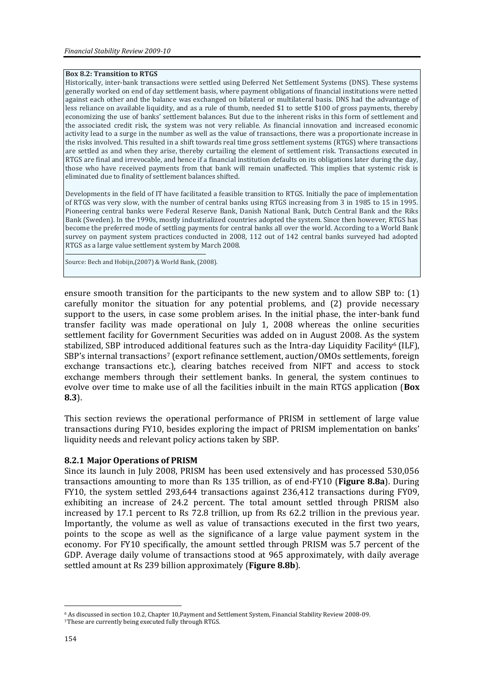#### **Box 8.2: Transition to RTGS**

Historically, inter-bank transactions were settled using Deferred Net Settlement Systems (DNS). These systems generally worked on end of day settlement basis, where payment obligations of financial institutions were netted against each other and the balance was exchanged on bilateral or multilateral basis. DNS had the advantage of less reliance on available liquidity, and as a rule of thumb, needed \$1 to settle \$100 of gross payments, thereby economizing the use of banks' settlement balances. But due to the inherent risks in this form of settlement and the associated credit risk, the system was not very reliable. As financial innovation and increased economic activity lead to a surge in the number as well as the value of transactions, there was a proportionate increase in the risks involved. This resulted in a shift towards real time gross settlement systems (RTGS) where transactions are settled as and when they arise, thereby curtailing the element of settlement risk. Transactions executed in RTGS are final and irrevocable, and hence if a financial institution defaults on its obligations later during the day, those who have received payments from that bank will remain unaffected. This implies that systemic risk is eliminated due to finality of settlement balances shifted.

Developments in the field of IT have facilitated a feasible transition to RTGS. Initially the pace of implementation of RTGS was very slow, with the number of central banks using RTGS increasing from 3 in 1985 to 15 in 1995. Pioneering central banks were Federal Reserve Bank, Danish National Bank, Dutch Central Bank and the Riks Bank (Sweden). In the 1990s, mostly industrialized countries adopted the system. Since then however, RTGS has become the preferred mode of settling payments for central banks all over the world. According to a World Bank survey on payment system practices conducted in 2008, 112 out of 142 central banks surveyed had adopted RTGS as a large value settlement system by March 2008.

Source: Bech and Hobijn,(2007) & World Bank, (2008).

ensure smooth transition for the participants to the new system and to allow SBP to: (1) carefully monitor the situation for any potential problems, and (2) provide necessary support to the users, in case some problem arises. In the initial phase, the inter-bank fund transfer facility was made operational on July 1, 2008 whereas the online securities settlement facility for Government Securities was added on in August 2008. As the system stabilized, SBP introduced additional features such as the Intra-day Liquidity Facility<sup>6</sup> (ILF), SBP's internal transactions<sup>7</sup> (export refinance settlement, auction/OMOs settlements, foreign exchange transactions etc.), clearing batches received from NIFT and access to stock exchange members through their settlement banks. In general, the system continues to evolve over time to make use of all the facilities inbuilt in the main RTGS application (**Box 8.3**).

This section reviews the operational performance of PRISM in settlement of large value transactions during FY10, besides exploring the impact of PRISM implementation on banks' liquidity needs and relevant policy actions taken by SBP.

## **8.2.1 Major Operations of PRISM**

Since its launch in July 2008, PRISM has been used extensively and has processed 530,056 transactions amounting to more than Rs 135 trillion, as of end-FY10 (**Figure 8.8a**). During FY10, the system settled 293,644 transactions against 236,412 transactions during FY09, exhibiting an increase of 24.2 percent. The total amount settled through PRISM also increased by 17.1 percent to Rs 72.8 trillion, up from Rs 62.2 trillion in the previous year. Importantly, the volume as well as value of transactions executed in the first two years, points to the scope as well as the significance of a large value payment system in the economy. For FY10 specifically, the amount settled through PRISM was 5.7 percent of the GDP. Average daily volume of transactions stood at 965 approximately, with daily average settled amount at Rs 239 billion approximately (**Figure 8.8b**).

l <sup>6</sup> As discussed in section 10.2, Chapter 10,Payment and Settlement System, Financial Stability Review 2008-09.

<sup>7</sup>These are currently being executed fully through RTGS.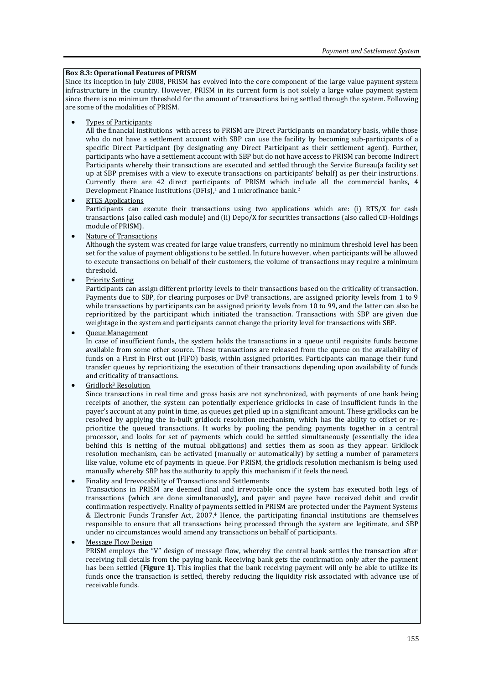#### **Box 8.3: Operational Features of PRISM**

Since its inception in July 2008, PRISM has evolved into the core component of the large value payment system infrastructure in the country. However, PRISM in its current form is not solely a large value payment system since there is no minimum threshold for the amount of transactions being settled through the system. Following are some of the modalities of PRISM.

Types of Participants

All the financial institutions with access to PRISM are Direct Participants on mandatory basis, while those who do not have a settlement account with SBP can use the facility by becoming sub-participants of a specific Direct Participant (by designating any Direct Participant as their settlement agent). Further, participants who have a settlement account with SBP but do not have access to PRISM can become Indirect Participants whereby their transactions are executed and settled through the Service Bureau(a facility set up at SBP premises with a view to execute transactions on participants' behalf) as per their instructions. Currently there are 42 direct participants of PRISM which include all the commercial banks, 4 Development Finance Institutions (DFIs),<sup>1</sup> and 1 microfinance bank.<sup>2</sup>

#### RTGS Applications

Participants can execute their transactions using two applications which are: (i) RTS/X for cash transactions (also called cash module) and (ii) Depo/X for securities transactions (also called CD-Holdings module of PRISM).

Nature of Transactions

Although the system was created for large value transfers, currently no minimum threshold level has been set for the value of payment obligations to be settled. In future however, when participants will be allowed to execute transactions on behalf of their customers, the volume of transactions may require a minimum threshold.

Priority Setting

Participants can assign different priority levels to their transactions based on the criticality of transaction. Payments due to SBP, for clearing purposes or DvP transactions, are assigned priority levels from 1 to 9 while transactions by participants can be assigned priority levels from 10 to 99, and the latter can also be reprioritized by the participant which initiated the transaction. Transactions with SBP are given due weightage in the system and participants cannot change the priority level for transactions with SBP.

Queue Management

In case of insufficient funds, the system holds the transactions in a queue until requisite funds become available from some other source. These transactions are released from the queue on the availability of funds on a First in First out (FIFO) basis, within assigned priorities. Participants can manage their fund transfer queues by reprioritizing the execution of their transactions depending upon availability of funds and criticality of transactions.

Gridlock<sup>3</sup> Resolution

Since transactions in real time and gross basis are not synchronized, with payments of one bank being receipts of another, the system can potentially experience gridlocks in case of insufficient funds in the payer's account at any point in time, as queues get piled up in a significant amount. These gridlocks can be resolved by applying the in-built gridlock resolution mechanism, which has the ability to offset or reprioritize the queued transactions. It works by pooling the pending payments together in a central processor, and looks for set of payments which could be settled simultaneously (essentially the idea behind this is netting of the mutual obligations) and settles them as soon as they appear. Gridlock resolution mechanism, can be activated (manually or automatically) by setting a number of parameters like value, volume etc of payments in queue. For PRISM, the gridlock resolution mechanism is being used manually whereby SBP has the authority to apply this mechanism if it feels the need.

#### Finality and Irrevocability of Transactions and Settlements

Transactions in PRISM are deemed final and irrevocable once the system has executed both legs of transactions (which are done simultaneously), and payer and payee have received debit and credit confirmation respectively. Finality of payments settled in PRISM are protected under the Payment Systems & Electronic Funds Transfer Act, 2007.<sup>4</sup> Hence, the participating financial institutions are themselves responsible to ensure that all transactions being processed through the system are legitimate, and SBP under no circumstances would amend any transactions on behalf of participants.

Message Flow Design

PRISM employs the "V" design of message flow, whereby the central bank settles the transaction after receiving full details from the paying bank. Receiving bank gets the confirmation only after the payment has been settled (**Figure 1**). This implies that the bank receiving payment will only be able to utilize its funds once the transaction is settled, thereby reducing the liquidity risk associated with advance use of receivable funds.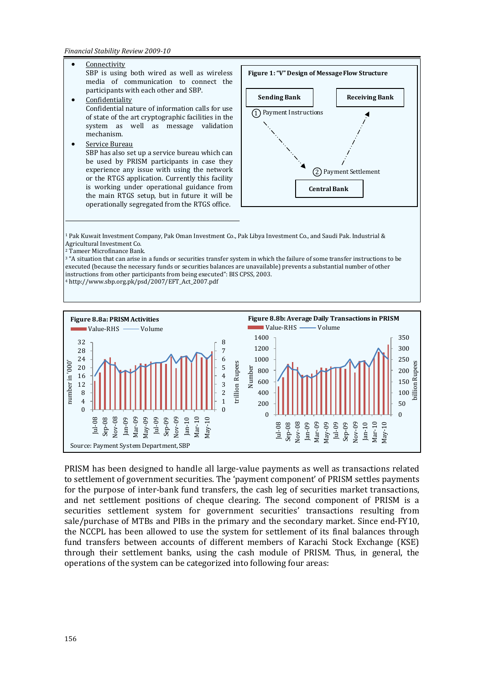**Connectivity** SBP is using both wired as well as wireless media of communication to connect the participants with each other and SBP. **Confidentiality** Confidential nature of information calls for use of state of the art cryptographic facilities in the system as well as message validation mechanism. Service Bureau SBP has also set up a service bureau which can be used by PRISM participants in case they experience any issue with using the network or the RTGS application. Currently this facility is working under operational guidance from the main RTGS setup, but in future it will be operationally segregated from the RTGS office. **Figure 1: "V" Design of Message Flow Structure Sending Bank Receiving Bank Central Bank** Payment Instructions 1 2) Payment Settlement

<sup>1</sup> Pak Kuwait Investment Company, Pak Oman Investment Co., Pak Libya Investment Co., and Saudi Pak. Industrial & Agricultural Investment Co.

<sup>2</sup> Tameer Microfinance Bank.

<sup>3</sup> "A situation that can arise in a funds or securities transfer system in which the failure of some transfer instructions to be executed (because the necessary funds or securities balances are unavailable) prevents a substantial number of other instructions from other participants from being executed": BIS CPSS, 2003. <sup>4</sup> http://www.sbp.org.pk/psd/2007/EFT\_Act\_2007.pdf



PRISM has been designed to handle all large-value payments as well as transactions related to settlement of government securities. The 'payment component' of PRISM settles payments for the purpose of inter-bank fund transfers, the cash leg of securities market transactions, and net settlement positions of cheque clearing. The second component of PRISM is a securities settlement system for government securities' transactions resulting from sale/purchase of MTBs and PIBs in the primary and the secondary market. Since end-FY10, the NCCPL has been allowed to use the system for settlement of its final balances through fund transfers between accounts of different members of Karachi Stock Exchange (KSE) through their settlement banks, using the cash module of PRISM. Thus, in general, the operations of the system can be categorized into following four areas: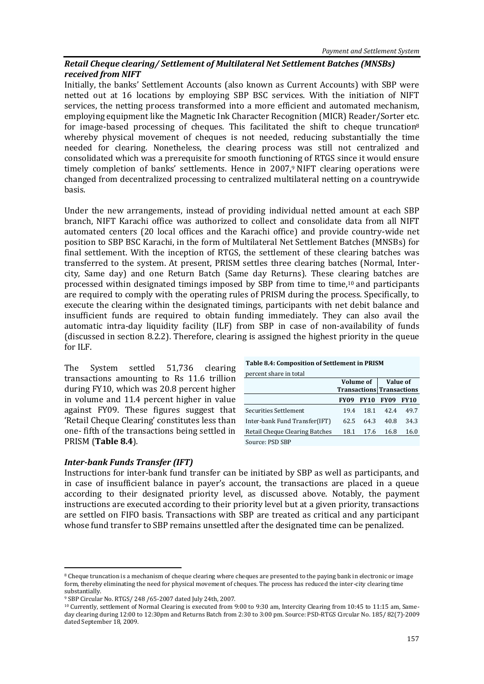# *Retail Cheque clearing/ Settlement of Multilateral Net Settlement Batches (MNSBs) received from NIFT*

Initially, the banks' Settlement Accounts (also known as Current Accounts) with SBP were netted out at 16 locations by employing SBP BSC services. With the initiation of NIFT services, the netting process transformed into a more efficient and automated mechanism, employing equipment like the Magnetic Ink Character Recognition (MICR) Reader/Sorter etc. for image-based processing of cheques. This facilitated the shift to cheque truncation $8$ whereby physical movement of cheques is not needed, reducing substantially the time needed for clearing. Nonetheless, the clearing process was still not centralized and consolidated which was a prerequisite for smooth functioning of RTGS since it would ensure timely completion of banks' settlements. Hence in 2007,9 NIFT clearing operations were changed from decentralized processing to centralized multilateral netting on a countrywide basis.

Under the new arrangements, instead of providing individual netted amount at each SBP branch, NIFT Karachi office was authorized to collect and consolidate data from all NIFT automated centers (20 local offices and the Karachi office) and provide country-wide net position to SBP BSC Karachi, in the form of Multilateral Net Settlement Batches (MNSBs) for final settlement. With the inception of RTGS, the settlement of these clearing batches was transferred to the system. At present, PRISM settles three clearing batches (Normal, Intercity, Same day) and one Return Batch (Same day Returns). These clearing batches are processed within designated timings imposed by SBP from time to time,<sup>10</sup> and participants are required to comply with the operating rules of PRISM during the process. Specifically, to execute the clearing within the designated timings, participants with net debit balance and insufficient funds are required to obtain funding immediately. They can also avail the automatic intra-day liquidity facility (ILF) from SBP in case of non-availability of funds (discussed in section 8.2.2). Therefore, clearing is assigned the highest priority in the queue for ILF.

The System settled 51,736 clearing transactions amounting to Rs 11.6 trillion during FY10, which was 20.8 percent higher in volume and 11.4 percent higher in value against FY09. These figures suggest that 'Retail Cheque Clearing' constitutes less than one- fifth of the transactions being settled in PRISM (**Table 8.4**).

#### **Table 8.4: Composition of Settlement in PRISM**

| percent share in total         |             |             |                                  |             |  |
|--------------------------------|-------------|-------------|----------------------------------|-------------|--|
|                                | Volume of   |             | Value of                         |             |  |
|                                |             |             | <b>Transactions Transactions</b> |             |  |
|                                | <b>FY09</b> | <b>FY10</b> | <b>FY09</b>                      | <b>FY10</b> |  |
| Securities Settlement          | 19.4        | 18.1        | 42.4                             | 49.7        |  |
| Inter-bank Fund Transfer(IFT)  | 62.5        | 64.3        | 40.8                             | 34.3        |  |
| Retail Cheque Clearing Batches | 18.1        | 17.6        | 16.8                             | 16.0        |  |
| Source: PSD SBP                |             |             |                                  |             |  |

## *Inter-bank Funds Transfer (IFT)*

 $\overline{a}$ 

Instructions for inter-bank fund transfer can be initiated by SBP as well as participants, and in case of insufficient balance in payer's account, the transactions are placed in a queue according to their designated priority level, as discussed above. Notably, the payment instructions are executed according to their priority level but at a given priority, transactions are settled on FIFO basis. Transactions with SBP are treated as critical and any participant whose fund transfer to SBP remains unsettled after the designated time can be penalized.

<sup>&</sup>lt;sup>8</sup> Cheque truncation is a mechanism of cheque clearing where cheques are presented to the paying bank in electronic or image form, thereby eliminating the need for physical movement of cheques. The process has reduced the inter-city clearing time substantially.

<sup>9</sup> SBP Circular No. RTGS/ 248 /65-2007 dated July 24th, 2007.

<sup>10</sup> Currently, settlement of Normal Clearing is executed from 9:00 to 9:30 am, Intercity Clearing from 10:45 to 11:15 am, Sameday clearing during 12:00 to 12:30pm and Returns Batch from 2:30 to 3:00 pm. Source: PSD-RTGS Circular No. 185/ 82(7)-2009 dated September 18, 2009.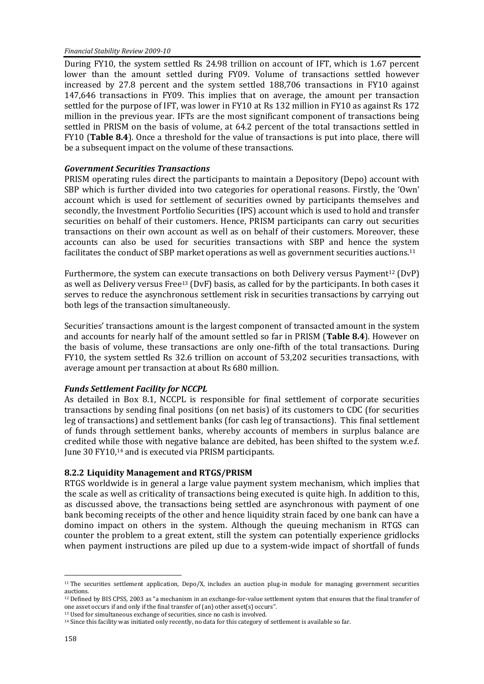During FY10, the system settled Rs 24.98 trillion on account of IFT, which is 1.67 percent lower than the amount settled during FY09. Volume of transactions settled however increased by 27.8 percent and the system settled 188,706 transactions in FY10 against 147,646 transactions in FY09. This implies that on average, the amount per transaction settled for the purpose of IFT, was lower in FY10 at Rs 132 million in FY10 as against Rs 172 million in the previous year. IFTs are the most significant component of transactions being settled in PRISM on the basis of volume, at 64.2 percent of the total transactions settled in FY10 (**Table 8.4**). Once a threshold for the value of transactions is put into place, there will be a subsequent impact on the volume of these transactions.

# *Government Securities Transactions*

PRISM operating rules direct the participants to maintain a Depository (Depo) account with SBP which is further divided into two categories for operational reasons. Firstly, the 'Own' account which is used for settlement of securities owned by participants themselves and secondly, the Investment Portfolio Securities (IPS) account which is used to hold and transfer securities on behalf of their customers. Hence, PRISM participants can carry out securities transactions on their own account as well as on behalf of their customers. Moreover, these accounts can also be used for securities transactions with SBP and hence the system facilitates the conduct of SBP market operations as well as government securities auctions.<sup>11</sup>

Furthermore, the system can execute transactions on both Delivery versus Payment<sup>12</sup> (DvP) as well as Delivery versus Free<sup>13</sup> (DvF) basis, as called for by the participants. In both cases it serves to reduce the asynchronous settlement risk in securities transactions by carrying out both legs of the transaction simultaneously.

Securities' transactions amount is the largest component of transacted amount in the system and accounts for nearly half of the amount settled so far in PRISM (**Table 8.4**). However on the basis of volume, these transactions are only one-fifth of the total transactions. During FY10, the system settled Rs 32.6 trillion on account of 53,202 securities transactions, with average amount per transaction at about Rs 680 million.

# *Funds Settlement Facility for NCCPL*

As detailed in Box 8.1, NCCPL is responsible for final settlement of corporate securities transactions by sending final positions (on net basis) of its customers to CDC (for securities leg of transactions) and settlement banks (for cash leg of transactions). This final settlement of funds through settlement banks, whereby accounts of members in surplus balance are credited while those with negative balance are debited, has been shifted to the system w.e.f. June 30 FY10,<sup>14</sup> and is executed via PRISM participants.

# **8.2.2 Liquidity Management and RTGS/PRISM**

RTGS worldwide is in general a large value payment system mechanism, which implies that the scale as well as criticality of transactions being executed is quite high. In addition to this, as discussed above, the transactions being settled are asynchronous with payment of one bank becoming receipts of the other and hence liquidity strain faced by one bank can have a domino impact on others in the system. Although the queuing mechanism in RTGS can counter the problem to a great extent, still the system can potentially experience gridlocks when payment instructions are piled up due to a system-wide impact of shortfall of funds

 $\overline{a}$ <sup>11</sup> The securities settlement application, Depo/X, includes an auction plug-in module for managing government securities auctions.

<sup>12</sup> Defined by BIS CPSS, 2003 as "a mechanism in an exchange-for-value settlement system that ensures that the final transfer of one asset occurs if and only if the final transfer of (an) other asset(s) occurs".

<sup>13</sup> Used for simultaneous exchange of securities, since no cash is involved.

<sup>14</sup> Since this facility was initiated only recently, no data for this category of settlement is available so far.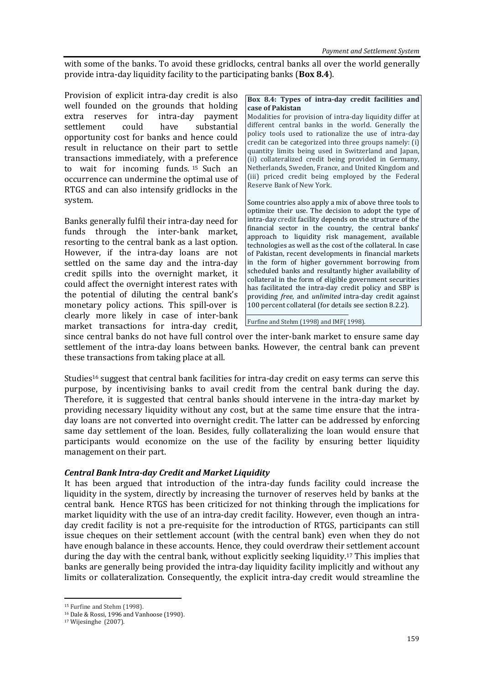with some of the banks. To avoid these gridlocks, central banks all over the world generally provide intra-day liquidity facility to the participating banks (**Box 8.4**).

Provision of explicit intra-day credit is also well founded on the grounds that holding extra reserves for intra-day payment settlement could have substantial opportunity cost for banks and hence could result in reluctance on their part to settle transactions immediately, with a preference to wait for incoming funds. <sup>15</sup> Such an occurrence can undermine the optimal use of RTGS and can also intensify gridlocks in the system.

Banks generally fulfil their intra-day need for funds through the inter-bank market, resorting to the central bank as a last option. However, if the intra-day loans are not settled on the same day and the intra-day credit spills into the overnight market, it could affect the overnight interest rates with the potential of diluting the central bank's monetary policy actions. This spill-over is clearly more likely in case of inter-bank market transactions for intra-day credit,

#### **Box 8.4: Types of intra-day credit facilities and case of Pakistan**

Modalities for provision of intra-day liquidity differ at different central banks in the world. Generally the policy tools used to rationalize the use of intra-day credit can be categorized into three groups namely: (i) quantity limits being used in Switzerland and Japan, (ii) collateralized credit being provided in Germany, Netherlands, Sweden, France, and United Kingdom and (iii) priced credit being employed by the Federal Reserve Bank of New York.

Some countries also apply a mix of above three tools to optimize their use. The decision to adopt the type of intra-day credit facility depends on the structure of the financial sector in the country, the central banks' approach to liquidity risk management, available technologies as well as the cost of the collateral. In case of Pakistan, recent developments in financial markets in the form of higher government borrowing from scheduled banks and resultantly higher availability of collateral in the form of eligible government securities has facilitated the intra-day credit policy and SBP is providing *free*, and *unlimited* intra-day credit against 100 percent collateral (for details see section 8.2.2).

Furfine and Stehm (1998) and IMF( 1998).

since central banks do not have full control over the inter-bank market to ensure same day settlement of the intra-day loans between banks. However, the central bank can prevent these transactions from taking place at all.

Studies<sup>16</sup> suggest that central bank facilities for intra-day credit on easy terms can serve this purpose, by incentivising banks to avail credit from the central bank during the day. Therefore, it is suggested that central banks should intervene in the intra-day market by providing necessary liquidity without any cost, but at the same time ensure that the intraday loans are not converted into overnight credit. The latter can be addressed by enforcing same day settlement of the loan. Besides, fully collateralizing the loan would ensure that participants would economize on the use of the facility by ensuring better liquidity management on their part.

# *Central Bank Intra-day Credit and Market Liquidity*

It has been argued that introduction of the intra-day funds facility could increase the liquidity in the system, directly by increasing the turnover of reserves held by banks at the central bank. Hence RTGS has been criticized for not thinking through the implications for market liquidity with the use of an intra-day credit facility. However, even though an intraday credit facility is not a pre-requisite for the introduction of RTGS, participants can still issue cheques on their settlement account (with the central bank) even when they do not have enough balance in these accounts. Hence, they could overdraw their settlement account during the day with the central bank, without explicitly seeking liquidity. <sup>17</sup> This implies that banks are generally being provided the intra-day liquidity facility implicitly and without any limits or collateralization. Consequently, the explicit intra-day credit would streamline the

 $\overline{a}$ 

<sup>15</sup> Furfine and Stehm (1998).

<sup>16</sup> Dale & Rossi, 1996 and Vanhoose (1990).

<sup>17</sup> Wijesinghe (2007).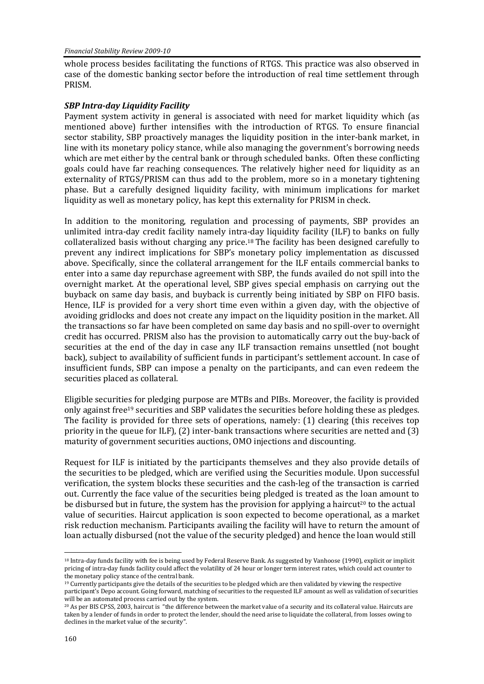whole process besides facilitating the functions of RTGS. This practice was also observed in case of the domestic banking sector before the introduction of real time settlement through PRISM.

## *SBP Intra-day Liquidity Facility*

Payment system activity in general is associated with need for market liquidity which (as mentioned above) further intensifies with the introduction of RTGS. To ensure financial sector stability, SBP proactively manages the liquidity position in the inter-bank market, in line with its monetary policy stance, while also managing the government's borrowing needs which are met either by the central bank or through scheduled banks. Often these conflicting goals could have far reaching consequences. The relatively higher need for liquidity as an externality of RTGS/PRISM can thus add to the problem, more so in a monetary tightening phase. But a carefully designed liquidity facility, with minimum implications for market liquidity as well as monetary policy, has kept this externality for PRISM in check.

In addition to the monitoring, regulation and processing of payments, SBP provides an unlimited intra-day credit facility namely intra-day liquidity facility (ILF) to banks on fully collateralized basis without charging any price. <sup>18</sup> The facility has been designed carefully to prevent any indirect implications for SBP's monetary policy implementation as discussed above. Specifically, since the collateral arrangement for the ILF entails commercial banks to enter into a same day repurchase agreement with SBP, the funds availed do not spill into the overnight market. At the operational level, SBP gives special emphasis on carrying out the buyback on same day basis, and buyback is currently being initiated by SBP on FIFO basis. Hence, ILF is provided for a very short time even within a given day, with the objective of avoiding gridlocks and does not create any impact on the liquidity position in the market. All the transactions so far have been completed on same day basis and no spill-over to overnight credit has occurred. PRISM also has the provision to automatically carry out the buy-back of securities at the end of the day in case any ILF transaction remains unsettled (not bought back), subject to availability of sufficient funds in participant's settlement account. In case of insufficient funds, SBP can impose a penalty on the participants, and can even redeem the securities placed as collateral.

Eligible securities for pledging purpose are MTBs and PIBs. Moreover, the facility is provided only against free<sup>19</sup> securities and SBP validates the securities before holding these as pledges. The facility is provided for three sets of operations, namely: (1) clearing (this receives top priority in the queue for ILF), (2) inter-bank transactions where securities are netted and (3) maturity of government securities auctions, OMO injections and discounting.

Request for ILF is initiated by the participants themselves and they also provide details of the securities to be pledged, which are verified using the Securities module. Upon successful verification, the system blocks these securities and the cash-leg of the transaction is carried out. Currently the face value of the securities being pledged is treated as the loan amount to be disbursed but in future, the system has the provision for applying a haircut<sup>20</sup> to the actual value of securities. Haircut application is soon expected to become operational, as a market risk reduction mechanism. Participants availing the facility will have to return the amount of loan actually disbursed (not the value of the security pledged) and hence the loan would still

 $\overline{a}$ 

<sup>18</sup> Intra-day funds facility with fee is being used by Federal Reserve Bank. As suggested by Vanhoose (1990), explicit or implicit pricing of intra-day funds facility could affect the volatility of 24 hour or longer term interest rates, which could act counter to the monetary policy stance of the central bank.

 $19$  Currently participants give the details of the securities to be pledged which are then validated by viewing the respective participant's Depo account. Going forward, matching of securities to the requested ILF amount as well as validation of securities will be an automated process carried out by the system.

<sup>20</sup> As per BIS CPSS, 2003, haircut is "the difference between the market value of a security and its collateral value. Haircuts are taken by a lender of funds in order to protect the lender, should the need arise to liquidate the collateral, from losses owing to declines in the market value of the security".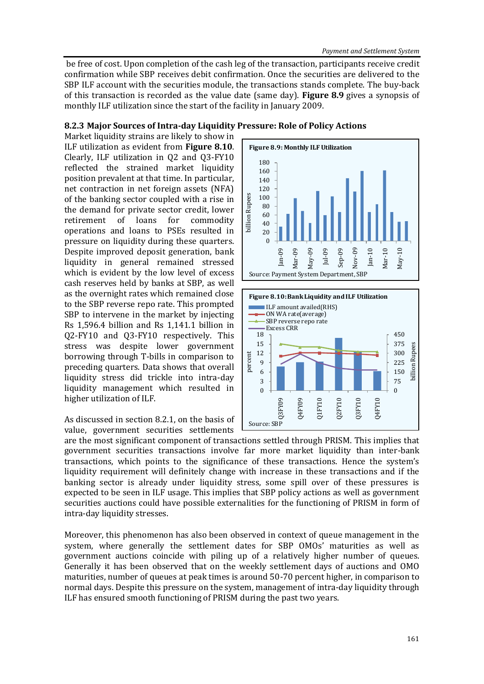be free of cost. Upon completion of the cash leg of the transaction, participants receive credit confirmation while SBP receives debit confirmation. Once the securities are delivered to the SBP ILF account with the securities module, the transactions stands complete. The buy-back of this transaction is recorded as the value date (same day). **Figure 8.9** gives a synopsis of monthly ILF utilization since the start of the facility in January 2009.

# **8.2.3 Major Sources of Intra-day Liquidity Pressure: Role of Policy Actions**

Market liquidity strains are likely to show in ILF utilization as evident from **Figure 8.10**. Clearly, ILF utilization in Q2 and Q3-FY10 reflected the strained market liquidity position prevalent at that time. In particular, net contraction in net foreign assets (NFA) of the banking sector coupled with a rise in the demand for private sector credit, lower retirement of loans for commodity operations and loans to PSEs resulted in pressure on liquidity during these quarters. Despite improved deposit generation, bank liquidity in general remained stressed which is evident by the low level of excess cash reserves held by banks at SBP, as well as the overnight rates which remained close to the SBP reverse repo rate. This prompted SBP to intervene in the market by injecting Rs 1,596.4 billion and Rs 1,141.1 billion in Q2-FY10 and Q3-FY10 respectively. This stress was despite lower government borrowing through T-bills in comparison to preceding quarters. Data shows that overall liquidity stress did trickle into intra-day liquidity management which resulted in higher utilization of ILF.

# As discussed in section 8.2.1, on the basis of value, government securities settlements



are the most significant component of transactions settled through PRISM. This implies that government securities transactions involve far more market liquidity than inter-bank transactions, which points to the significance of these transactions. Hence the system's liquidity requirement will definitely change with increase in these transactions and if the banking sector is already under liquidity stress, some spill over of these pressures is expected to be seen in ILF usage. This implies that SBP policy actions as well as government securities auctions could have possible externalities for the functioning of PRISM in form of intra-day liquidity stresses.

Moreover, this phenomenon has also been observed in context of queue management in the system, where generally the settlement dates for SBP OMOs' maturities as well as government auctions coincide with piling up of a relatively higher number of queues. Generally it has been observed that on the weekly settlement days of auctions and OMO maturities, number of queues at peak times is around 50-70 percent higher, in comparison to normal days. Despite this pressure on the system, management of intra-day liquidity through ILF has ensured smooth functioning of PRISM during the past two years.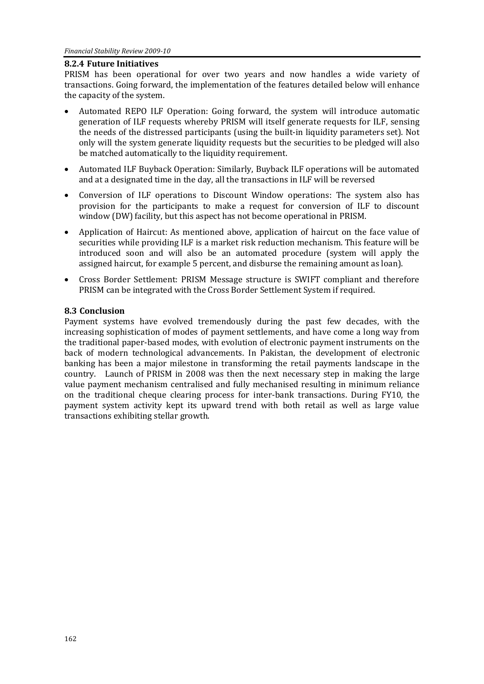## **8.2.4 Future Initiatives**

PRISM has been operational for over two years and now handles a wide variety of transactions. Going forward, the implementation of the features detailed below will enhance the capacity of the system.

- Automated REPO ILF Operation: Going forward, the system will introduce automatic generation of ILF requests whereby PRISM will itself generate requests for ILF, sensing the needs of the distressed participants (using the built-in liquidity parameters set). Not only will the system generate liquidity requests but the securities to be pledged will also be matched automatically to the liquidity requirement.
- Automated ILF Buyback Operation: Similarly, Buyback ILF operations will be automated and at a designated time in the day, all the transactions in ILF will be reversed
- Conversion of ILF operations to Discount Window operations: The system also has provision for the participants to make a request for conversion of ILF to discount window (DW) facility, but this aspect has not become operational in PRISM.
- Application of Haircut: As mentioned above, application of haircut on the face value of securities while providing ILF is a market risk reduction mechanism. This feature will be introduced soon and will also be an automated procedure (system will apply the assigned haircut, for example 5 percent, and disburse the remaining amount as loan).
- Cross Border Settlement: PRISM Message structure is SWIFT compliant and therefore PRISM can be integrated with the Cross Border Settlement System if required.

# **8.3 Conclusion**

Payment systems have evolved tremendously during the past few decades, with the increasing sophistication of modes of payment settlements, and have come a long way from the traditional paper-based modes, with evolution of electronic payment instruments on the back of modern technological advancements. In Pakistan, the development of electronic banking has been a major milestone in transforming the retail payments landscape in the country. Launch of PRISM in 2008 was then the next necessary step in making the large value payment mechanism centralised and fully mechanised resulting in minimum reliance on the traditional cheque clearing process for inter-bank transactions. During FY10, the payment system activity kept its upward trend with both retail as well as large value transactions exhibiting stellar growth.